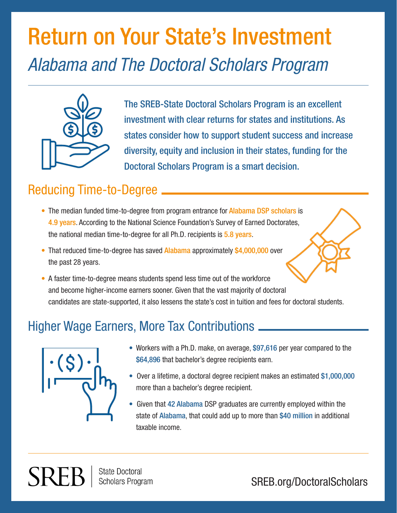# Return on Your State's Investment *Alabama and The Doctoral Scholars Program*



The SREB-State Doctoral Scholars Program is an excellent investment with clear returns for states and institutions. As states consider how to support student success and increase diversity, equity and inclusion in their states, funding for the Doctoral Scholars Program is a smart decision.

### Reducing Time-to-Degree

- The median funded time-to-degree from program entrance for Alabama DSP scholars is 4.9 years. According to the National Science Foundation's Survey of Earned Doctorates, the national median time-to-degree for all Ph.D. recipients is 5.8 years.
- That reduced time-to-degree has saved Alabama approximately \$4,000,000 over the past 28 years.
- A faster time-to-degree means students spend less time out of the workforce and become higher-income earners sooner. Given that the vast majority of doctoral candidates are state-supported, it also lessens the state's cost in tuition and fees for doctoral students.

### Higher Wage Earners, More Tax Contributions



SREF

- Workers with a Ph.D. make, on average, \$97,616 per year compared to the \$64,896 that bachelor's degree recipients earn.
- Over a lifetime, a doctoral degree recipient makes an estimated \$1,000,000 more than a bachelor's degree recipient.
- Given that 42 Alabama DSP graduates are currently employed within the state of Alabama, that could add up to more than \$40 million in additional taxable income.

**State Doctoral Scholars Program** 

SREB.org/DoctoralScholars